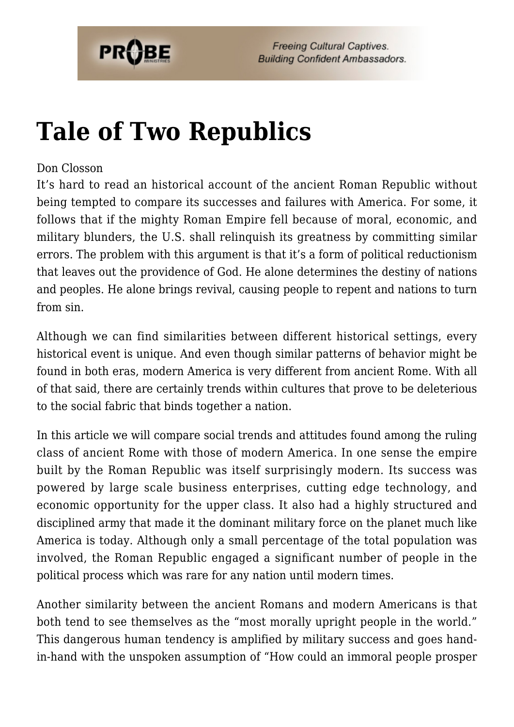

# **[Tale of Two Republics](https://probe.org/tale-of-two-republics/)**

### Don Closson

It's hard to read an historical account of the ancient Roman Republic without being tempted to compare its successes and failures with America. For some, it follows that if the mighty Roman Empire fell because of moral, economic, and military blunders, the U.S. shall relinquish its greatness by committing similar errors. The problem with this argument is that it's a form of political reductionism that leaves out the providence of God. He alone determines the destiny of nations and peoples. He alone brings revival, causing people to repent and nations to turn from sin.

Although we can find similarities between different historical settings, every historical event is unique. And even though similar patterns of behavior might be found in both eras, modern America is very different from ancient Rome. With all of that said, there are certainly trends within cultures that prove to be deleterious to the social fabric that binds together a nation.

In this article we will compare social trends and attitudes found among the ruling class of ancient Rome with those of modern America. In one sense the empire built by the Roman Republic was itself surprisingly modern. Its success was powered by large scale business enterprises, cutting edge technology, and economic opportunity for the upper class. It also had a highly structured and disciplined army that made it the dominant military force on the planet much like America is today. Although only a small percentage of the total population was involved, the Roman Republic engaged a significant number of people in the political process which was rare for any nation until modern times.

Another similarity between the ancient Romans and modern Americans is that both tend to see themselves as the "most morally upright people in the world." This dangerous human tendency is amplified by military success and goes handin-hand with the unspoken assumption of "How could an immoral people prosper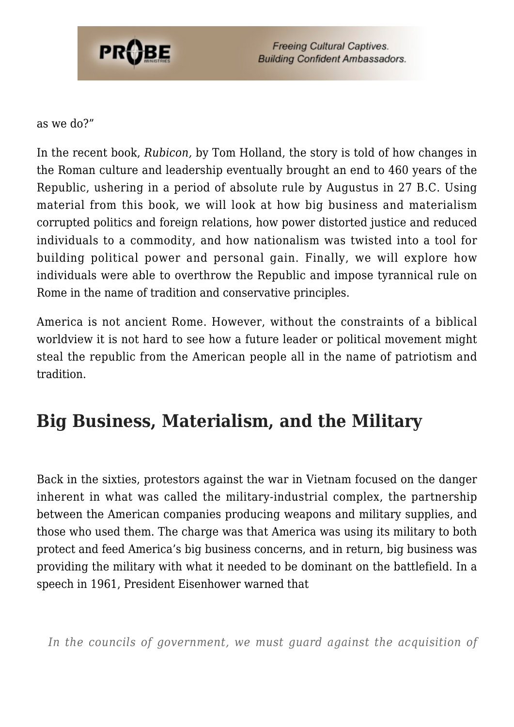

as we do?"

In the recent book, *Rubicon,* by Tom Holland, the story is told of how changes in the Roman culture and leadership eventually brought an end to 460 years of the Republic, ushering in a period of absolute rule by Augustus in 27 B.C. Using material from this book, we will look at how big business and materialism corrupted politics and foreign relations, how power distorted justice and reduced individuals to a commodity, and how nationalism was twisted into a tool for building political power and personal gain. Finally, we will explore how individuals were able to overthrow the Republic and impose tyrannical rule on Rome in the name of tradition and conservative principles.

America is not ancient Rome. However, without the constraints of a biblical worldview it is not hard to see how a future leader or political movement might steal the republic from the American people all in the name of patriotism and tradition.

# **Big Business, Materialism, and the Military**

Back in the sixties, protestors against the war in Vietnam focused on the danger inherent in what was called the military-industrial complex, the partnership between the American companies producing weapons and military supplies, and those who used them. The charge was that America was using its military to both protect and feed America's big business concerns, and in return, big business was providing the military with what it needed to be dominant on the battlefield. In a speech in 1961, President Eisenhower warned that

*In the councils of government, we must guard against the acquisition of*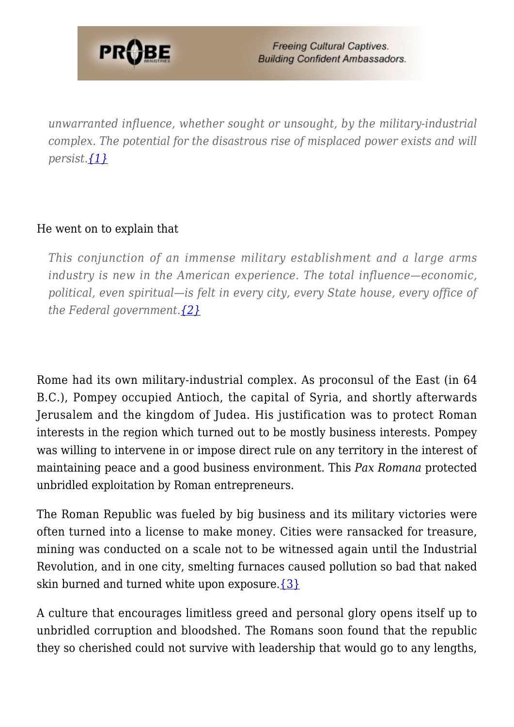

*unwarranted influence, whether sought or unsought, by the military-industrial complex. The potential for the disastrous rise of misplaced power exists and will persist.[{1}](#page-7-0)*

### He went on to explain that

*This conjunction of an immense military establishment and a large arms industry is new in the American experience. The total influence—economic, political, even spiritual—is felt in every city, every State house, every office of the Federal government[.{2}](#page-7-1)*

Rome had its own military-industrial complex. As proconsul of the East (in 64 B.C.), Pompey occupied Antioch, the capital of Syria, and shortly afterwards Jerusalem and the kingdom of Judea. His justification was to protect Roman interests in the region which turned out to be mostly business interests. Pompey was willing to intervene in or impose direct rule on any territory in the interest of maintaining peace and a good business environment. This *Pax Romana* protected unbridled exploitation by Roman entrepreneurs.

The Roman Republic was fueled by big business and its military victories were often turned into a license to make money. Cities were ransacked for treasure, mining was conducted on a scale not to be witnessed again until the Industrial Revolution, and in one city, smelting furnaces caused pollution so bad that naked skin burned and turned white upon exposure. $\{3\}$ 

A culture that encourages limitless greed and personal glory opens itself up to unbridled corruption and bloodshed. The Romans soon found that the republic they so cherished could not survive with leadership that would go to any lengths,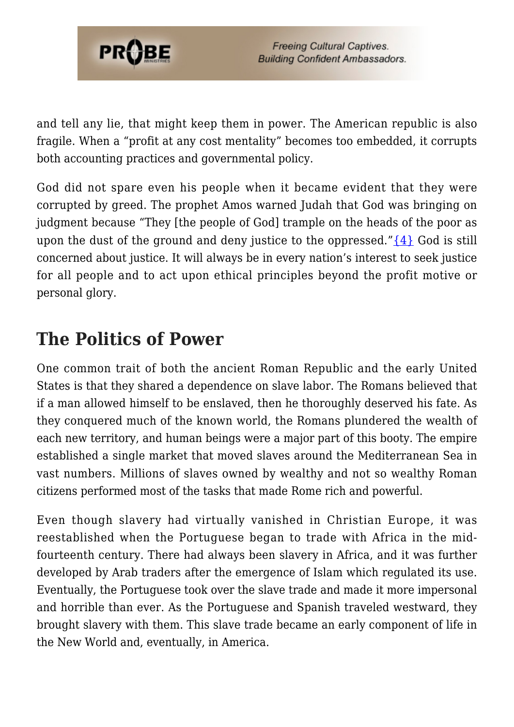

and tell any lie, that might keep them in power. The American republic is also fragile. When a "profit at any cost mentality" becomes too embedded, it corrupts both accounting practices and governmental policy.

God did not spare even his people when it became evident that they were corrupted by greed. The prophet Amos warned Judah that God was bringing on judgment because "They [the people of God] trample on the heads of the poor as upon the dust of the ground and deny justice to the oppressed." $\{4\}$  God is still concerned about justice. It will always be in every nation's interest to seek justice for all people and to act upon ethical principles beyond the profit motive or personal glory.

### **The Politics of Power**

One common trait of both the ancient Roman Republic and the early United States is that they shared a dependence on slave labor. The Romans believed that if a man allowed himself to be enslaved, then he thoroughly deserved his fate. As they conquered much of the known world, the Romans plundered the wealth of each new territory, and human beings were a major part of this booty. The empire established a single market that moved slaves around the Mediterranean Sea in vast numbers. Millions of slaves owned by wealthy and not so wealthy Roman citizens performed most of the tasks that made Rome rich and powerful.

Even though slavery had virtually vanished in Christian Europe, it was reestablished when the Portuguese began to trade with Africa in the midfourteenth century. There had always been slavery in Africa, and it was further developed by Arab traders after the emergence of Islam which regulated its use. Eventually, the Portuguese took over the slave trade and made it more impersonal and horrible than ever. As the Portuguese and Spanish traveled westward, they brought slavery with them. This slave trade became an early component of life in the New World and, eventually, in America.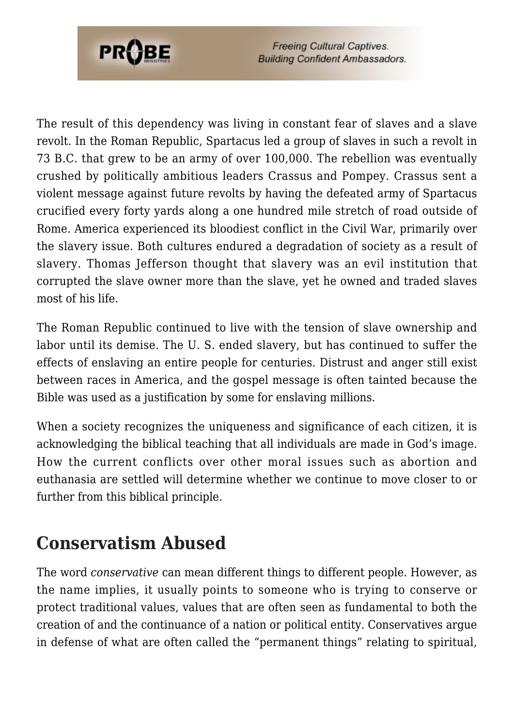

The result of this dependency was living in constant fear of slaves and a slave revolt. In the Roman Republic, Spartacus led a group of slaves in such a revolt in 73 B.C. that grew to be an army of over 100,000. The rebellion was eventually crushed by politically ambitious leaders Crassus and Pompey. Crassus sent a violent message against future revolts by having the defeated army of Spartacus crucified every forty yards along a one hundred mile stretch of road outside of Rome. America experienced its bloodiest conflict in the Civil War, primarily over the slavery issue. Both cultures endured a degradation of society as a result of slavery. Thomas Jefferson thought that slavery was an evil institution that corrupted the slave owner more than the slave, yet he owned and traded slaves most of his life.

The Roman Republic continued to live with the tension of slave ownership and labor until its demise. The U. S. ended slavery, but has continued to suffer the effects of enslaving an entire people for centuries. Distrust and anger still exist between races in America, and the gospel message is often tainted because the Bible was used as a justification by some for enslaving millions.

When a society recognizes the uniqueness and significance of each citizen, it is acknowledging the biblical teaching that all individuals are made in God's image. How the current conflicts over other moral issues such as abortion and euthanasia are settled will determine whether we continue to move closer to or further from this biblical principle.

# **Conservatism Abused**

The word *conservative* can mean different things to different people. However, as the name implies, it usually points to someone who is trying to conserve or protect traditional values, values that are often seen as fundamental to both the creation of and the continuance of a nation or political entity. Conservatives argue in defense of what are often called the "permanent things" relating to spiritual,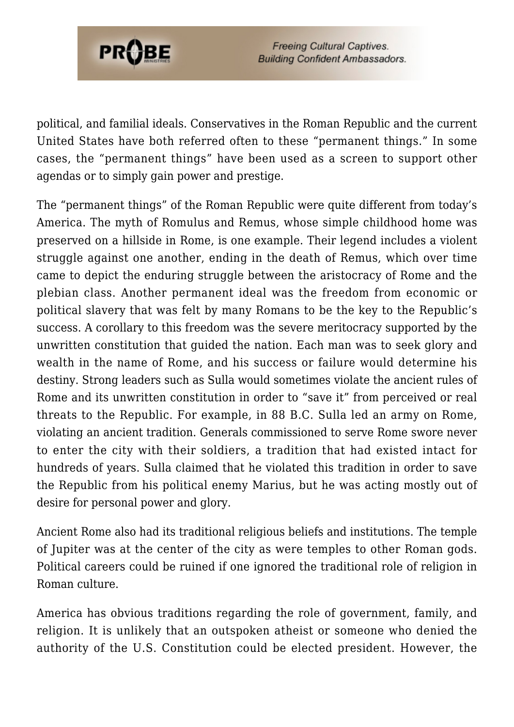

political, and familial ideals. Conservatives in the Roman Republic and the current United States have both referred often to these "permanent things." In some cases, the "permanent things" have been used as a screen to support other agendas or to simply gain power and prestige.

The "permanent things" of the Roman Republic were quite different from today's America. The myth of Romulus and Remus, whose simple childhood home was preserved on a hillside in Rome, is one example. Their legend includes a violent struggle against one another, ending in the death of Remus, which over time came to depict the enduring struggle between the aristocracy of Rome and the plebian class. Another permanent ideal was the freedom from economic or political slavery that was felt by many Romans to be the key to the Republic's success. A corollary to this freedom was the severe meritocracy supported by the unwritten constitution that guided the nation. Each man was to seek glory and wealth in the name of Rome, and his success or failure would determine his destiny. Strong leaders such as Sulla would sometimes violate the ancient rules of Rome and its unwritten constitution in order to "save it" from perceived or real threats to the Republic. For example, in 88 B.C. Sulla led an army on Rome, violating an ancient tradition. Generals commissioned to serve Rome swore never to enter the city with their soldiers, a tradition that had existed intact for hundreds of years. Sulla claimed that he violated this tradition in order to save the Republic from his political enemy Marius, but he was acting mostly out of desire for personal power and glory.

Ancient Rome also had its traditional religious beliefs and institutions. The temple of Jupiter was at the center of the city as were temples to other Roman gods. Political careers could be ruined if one ignored the traditional role of religion in Roman culture.

America has obvious traditions regarding the role of government, family, and religion. It is unlikely that an outspoken atheist or someone who denied the authority of the U.S. Constitution could be elected president. However, the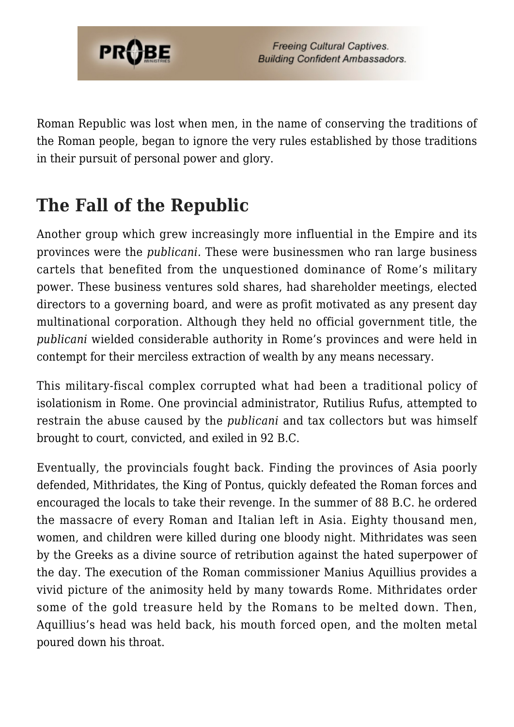

Roman Republic was lost when men, in the name of conserving the traditions of the Roman people, began to ignore the very rules established by those traditions in their pursuit of personal power and glory.

# **The Fall of the Republic**

Another group which grew increasingly more influential in the Empire and its provinces were the *publicani.* These were businessmen who ran large business cartels that benefited from the unquestioned dominance of Rome's military power. These business ventures sold shares, had shareholder meetings, elected directors to a governing board, and were as profit motivated as any present day multinational corporation. Although they held no official government title, the *publicani* wielded considerable authority in Rome's provinces and were held in contempt for their merciless extraction of wealth by any means necessary.

This military-fiscal complex corrupted what had been a traditional policy of isolationism in Rome. One provincial administrator, Rutilius Rufus, attempted to restrain the abuse caused by the *publicani* and tax collectors but was himself brought to court, convicted, and exiled in 92 B.C.

Eventually, the provincials fought back. Finding the provinces of Asia poorly defended, Mithridates, the King of Pontus, quickly defeated the Roman forces and encouraged the locals to take their revenge. In the summer of 88 B.C. he ordered the massacre of every Roman and Italian left in Asia. Eighty thousand men, women, and children were killed during one bloody night. Mithridates was seen by the Greeks as a divine source of retribution against the hated superpower of the day. The execution of the Roman commissioner Manius Aquillius provides a vivid picture of the animosity held by many towards Rome. Mithridates order some of the gold treasure held by the Romans to be melted down. Then, Aquillius's head was held back, his mouth forced open, and the molten metal poured down his throat.